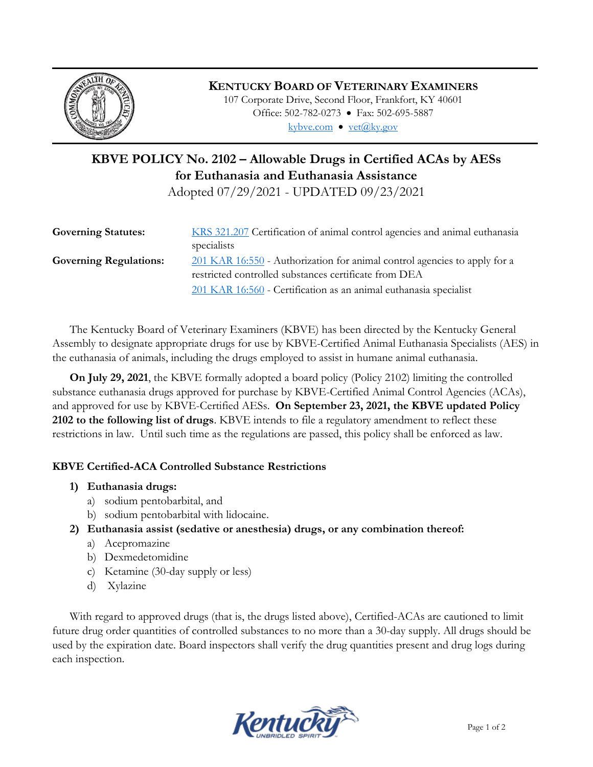

## **KENTUCKY BOARD OF VETERINARY EXAMINERS**

107 Corporate Drive, Second Floor, Frankfort, KY 40601 Office: 502-782-0273 • Fax: 502-695-5887 kybve.com  $\bullet$  yet $(\partial_k ky.gov)$ 

# **KBVE POLICY No. 2102 – Allowable Drugs in Certified ACAs by AESs for Euthanasia and Euthanasia Assistance**

Adopted 07/29/2021 - UPDATED 09/23/2021

| <b>Governing Statutes:</b>    | KRS 321.207 Certification of animal control agencies and animal euthanasia |
|-------------------------------|----------------------------------------------------------------------------|
|                               | specialists                                                                |
| <b>Governing Regulations:</b> | 201 KAR 16:550 - Authorization for animal control agencies to apply for a  |
|                               | restricted controlled substances certificate from DEA                      |
|                               | 201 KAR 16:560 - Certification as an animal euthanasia specialist          |

The Kentucky Board of Veterinary Examiners (KBVE) has been directed by the Kentucky General Assembly to designate appropriate drugs for use by KBVE-Certified Animal Euthanasia Specialists (AES) in the euthanasia of animals, including the drugs employed to assist in humane animal euthanasia.

**On July 29, 2021**, the KBVE formally adopted a board policy (Policy 2102) limiting the controlled substance euthanasia drugs approved for purchase by KBVE-Certified Animal Control Agencies (ACAs), and approved for use by KBVE-Certified AESs. **On September 23, 2021, the KBVE updated Policy 2102 to the following list of drugs**. KBVE intends to file a regulatory amendment to reflect these restrictions in law. Until such time as the regulations are passed, this policy shall be enforced as law.

### **KBVE Certified-ACA Controlled Substance Restrictions**

- **1) Euthanasia drugs:** 
	- a) sodium pentobarbital, and
	- b) sodium pentobarbital with lidocaine.
- **2) Euthanasia assist (sedative or anesthesia) drugs, or any combination thereof:** 
	- a) Acepromazine
	- b) Dexmedetomidine
	- c) Ketamine (30-day supply or less)
	- d) Xylazine

With regard to approved drugs (that is, the drugs listed above), Certified-ACAs are cautioned to limit future drug order quantities of controlled substances to no more than a 30-day supply. All drugs should be used by the expiration date. Board inspectors shall verify the drug quantities present and drug logs during each inspection.